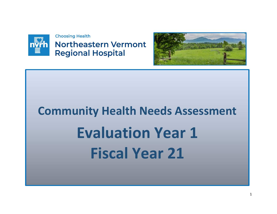**Choosing Health** 

## **Northeastern Vermont Regional Hospital**



## **Community Health Needs Assessment Evaluation Year 1 Fiscal Year 21**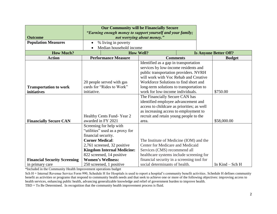|                                                        | <b>Our Community will be Financially Secure</b>                                   |                                                                                                                          |  |                              |  |
|--------------------------------------------------------|-----------------------------------------------------------------------------------|--------------------------------------------------------------------------------------------------------------------------|--|------------------------------|--|
|                                                        | "Earning enough money to support yourself and your family;                        |                                                                                                                          |  |                              |  |
| <b>Outcome</b>                                         |                                                                                   | not worrying about money."                                                                                               |  |                              |  |
| <b>Population Measures</b>                             | % living in poverty                                                               |                                                                                                                          |  |                              |  |
|                                                        | Median household income                                                           |                                                                                                                          |  |                              |  |
| <b>How Much?</b>                                       |                                                                                   | <b>How Well?</b>                                                                                                         |  | <b>Is Anyone Better Off?</b> |  |
| <b>Action</b>                                          | <b>Performance Measure</b>                                                        | <b>Comments</b>                                                                                                          |  | <b>Budget</b>                |  |
|                                                        |                                                                                   | Identified as a gap in transportation                                                                                    |  |                              |  |
|                                                        |                                                                                   | services by low-income residents and                                                                                     |  |                              |  |
|                                                        |                                                                                   | public transportation providers. NVRH                                                                                    |  |                              |  |
|                                                        |                                                                                   | will work with Voc Rehab and Creative                                                                                    |  |                              |  |
|                                                        | 20 people served with gas                                                         | Workforce Solutions to find short and                                                                                    |  |                              |  |
| <b>Transportation to work</b>                          | cards for "Rides to Work"                                                         | long-term solutions to transportation to                                                                                 |  |                              |  |
| initiatives                                            | initiative.                                                                       | work for low-income individuals.<br>\$750.00                                                                             |  |                              |  |
|                                                        |                                                                                   | The Financially Secure CAN has                                                                                           |  |                              |  |
|                                                        |                                                                                   | identified employee advancement and                                                                                      |  |                              |  |
|                                                        |                                                                                   | access to childcare as priorities; as well                                                                               |  |                              |  |
|                                                        |                                                                                   | as increasing access to employment to                                                                                    |  |                              |  |
|                                                        | Healthy Cents Fund-Year 2                                                         | recruit and retain young people to the                                                                                   |  |                              |  |
| <b>Financially Secure CAN</b>                          | awarded in FY 2021                                                                | area.                                                                                                                    |  | \$58,000.00                  |  |
|                                                        | Screening for help with                                                           |                                                                                                                          |  |                              |  |
|                                                        | "utilities" used as a proxy for                                                   |                                                                                                                          |  |                              |  |
|                                                        | financial security.<br><b>Corner Medical:</b>                                     |                                                                                                                          |  |                              |  |
|                                                        |                                                                                   | The Institute of Medicine (IOM) and the<br>Center for Medicare and Medicaid                                              |  |                              |  |
|                                                        | 2,761 screened, 32 positive                                                       |                                                                                                                          |  |                              |  |
|                                                        | <b>Kingdom Internal Medicine:</b>                                                 | Services (CMS) recommend all                                                                                             |  |                              |  |
|                                                        |                                                                                   |                                                                                                                          |  |                              |  |
|                                                        |                                                                                   |                                                                                                                          |  |                              |  |
| <b>Financial Security Screening</b><br>in primary care | 822 screened, 14 positive<br><b>Women's Wellness:</b><br>250 screened, 1 positive | healthcare systems include screening for<br>financial security in a screening tool for<br>social determinants of health. |  | In Kind - Sch H              |  |

Sch H = Internal Revenue Service Form 990, Schedule H for Hospitals is used to report a hospital's community benefit activities. Schedule H defines community benefit as activities or programs that respond to community health needs and that seek to achieve one or more of the following objectives: improving access to health services, enhancing public health, advancing generalizable knowledge and relief of government burden to improve health.

TBD = To Be Determined. In recognition that the community health improvement process is fluid.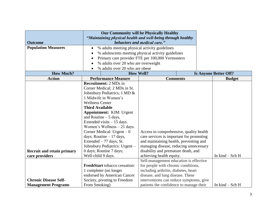|                                   | Our Community will be Physically Healthy                                                    |                                                                    |                                                                               |  |  |                                 |
|-----------------------------------|---------------------------------------------------------------------------------------------|--------------------------------------------------------------------|-------------------------------------------------------------------------------|--|--|---------------------------------|
| <b>Outcome</b>                    | "Maintaining physical health and well-being through healthy<br>behaviors and medical care." |                                                                    |                                                                               |  |  |                                 |
| <b>Population Measures</b>        |                                                                                             |                                                                    |                                                                               |  |  |                                 |
|                                   | ٠                                                                                           | % adults meeting physical activity guidelines                      |                                                                               |  |  |                                 |
|                                   |                                                                                             | % adolescents meeting physical activity guidelines                 |                                                                               |  |  |                                 |
|                                   |                                                                                             | Primary care provider FTE per 100,000 Vermonters                   |                                                                               |  |  |                                 |
|                                   |                                                                                             | % adults over 20 who are overweight                                |                                                                               |  |  |                                 |
|                                   |                                                                                             | % adults over 20 who are obese                                     |                                                                               |  |  |                                 |
| <b>How Much?</b>                  |                                                                                             | <b>How Well?</b>                                                   |                                                                               |  |  | <b>Is Anyone Better Off?</b>    |
| <b>Action</b>                     |                                                                                             | <b>Performance Measure</b>                                         | <b>Comments</b>                                                               |  |  | <b>Budget</b>                   |
|                                   |                                                                                             | <b>Recruitment:</b> 2 MDs in                                       |                                                                               |  |  |                                 |
|                                   |                                                                                             | Corner Medical; 2 MDs in St.                                       |                                                                               |  |  |                                 |
|                                   |                                                                                             | Johnsbury Pediatrics; 1 MD &                                       |                                                                               |  |  |                                 |
|                                   |                                                                                             | 1 Midwife in Women's                                               |                                                                               |  |  |                                 |
|                                   |                                                                                             | <b>Wellness Center</b>                                             |                                                                               |  |  |                                 |
|                                   | <b>Third Available</b>                                                                      |                                                                    |                                                                               |  |  |                                 |
|                                   | <b>Appointment: KIM: Urgent</b>                                                             |                                                                    |                                                                               |  |  |                                 |
|                                   | and Routine $-5$ days,                                                                      |                                                                    |                                                                               |  |  |                                 |
|                                   |                                                                                             | Extended visits $-15$ days.                                        |                                                                               |  |  |                                 |
|                                   |                                                                                             | Women's Wellness $-21$ days.                                       |                                                                               |  |  |                                 |
|                                   |                                                                                             | Corner Medical: Urgent $-0$                                        | Access to comprehensive, quality health                                       |  |  |                                 |
|                                   |                                                                                             | days; Routine $-17$ days,                                          | care services is important for promoting                                      |  |  |                                 |
|                                   |                                                                                             | Extended $-77$ days; St.                                           | and maintaining health, preventing and                                        |  |  |                                 |
|                                   |                                                                                             | Johnsbury Pediatrics: Urgent -                                     | managing disease, reducing unnecessary<br>disability and premature death, and |  |  |                                 |
| <b>Recruit and retain primary</b> |                                                                                             | 0 days; Routine 7 days;                                            |                                                                               |  |  | In $\text{kind} - \text{Sch} H$ |
| care providers                    | Well-child 9 days.                                                                          | achieving health equity.<br>Self-management education is effective |                                                                               |  |  |                                 |
|                                   |                                                                                             | <b>FreshStart</b> tobacco cessation:                               |                                                                               |  |  |                                 |
|                                   |                                                                                             | 1 completer (no longer                                             | for people with chronic conditions,<br>including arthritis, diabetes, heart   |  |  |                                 |
|                                   |                                                                                             | endorsed by American Cancer                                        | disease, and lung disease. These                                              |  |  |                                 |
| <b>Chronic Disease Self-</b>      |                                                                                             | Society, pivoting to Freedom                                       | interventions can reduce symptoms, give                                       |  |  |                                 |
| <b>Management Programs</b>        | From Smoking)                                                                               |                                                                    | patients the confidence to manage their                                       |  |  | In $\text{kind} - \text{Sch}$ H |
|                                   |                                                                                             |                                                                    |                                                                               |  |  |                                 |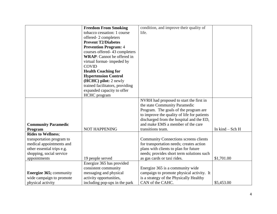|                                | <b>Freedom From Smoking</b>       | condition, and improve their quality of      |                                 |
|--------------------------------|-----------------------------------|----------------------------------------------|---------------------------------|
|                                | tobacco cessation: 1 course       | life.                                        |                                 |
|                                | offered-2 completers              |                                              |                                 |
|                                | <b>Prevent T2/Diabetes</b>        |                                              |                                 |
|                                | <b>Prevention Program: 4</b>      |                                              |                                 |
|                                | courses offered-43 completers     |                                              |                                 |
|                                | <b>WRAP:</b> Cannot be offered in |                                              |                                 |
|                                | virtual format- impeded by        |                                              |                                 |
|                                | <b>COVID</b>                      |                                              |                                 |
|                                | <b>Health Coaching for</b>        |                                              |                                 |
|                                | <b>Hypertension Control</b>       |                                              |                                 |
|                                | (HCHC) pilot: 2 newly             |                                              |                                 |
|                                | trained facilitators, providing   |                                              |                                 |
|                                | expanded capacity to offer        |                                              |                                 |
|                                | <b>HCHC</b> program               |                                              |                                 |
|                                |                                   | NVRH had proposed to start the first in      |                                 |
|                                |                                   | the state Community Paramedic                |                                 |
|                                |                                   | Program. The goals of the program are        |                                 |
|                                |                                   | to improve the quality of life for patients  |                                 |
|                                |                                   | discharged from the hospital and the ED,     |                                 |
| <b>Community Paramedic</b>     |                                   | and make EMS a member of the care            |                                 |
| Program                        | <b>NOT HAPPENING</b>              | transitions team.                            | In $\text{kind} - \text{Sch} H$ |
| <b>Rides to Wellness:</b>      |                                   |                                              |                                 |
| transportation program to      |                                   | <b>Community Connections screens clients</b> |                                 |
| medical appointments and       |                                   | for transportation needs; creates action     |                                 |
| other essential trips e.g.     |                                   | plans with clients to plan for future        |                                 |
| shopping, social service       |                                   | needs; provides short term solutions such    |                                 |
| appointments                   | 19 people served                  | as gas cards or taxi rides.                  | \$1,701.00                      |
|                                | Energize 365 has provided         |                                              |                                 |
|                                | consistent community              | Energize 365 is a community wide             |                                 |
| <b>Energize 365; community</b> | messaging and physical            | campaign to promote physical activity. It    |                                 |
| wide campaign to promote       | activity opportunities,           | is a strategy of the Physically Healthy      |                                 |
| physical activity              | including pop-ups in the park     | CAN of the CAHC.                             | \$5,453.00                      |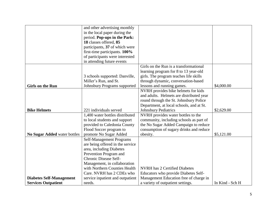|                                 | and other advertising monthly       |                                          |                 |
|---------------------------------|-------------------------------------|------------------------------------------|-----------------|
|                                 | in the local paper during the       |                                          |                 |
|                                 | period. Pop-ups in the Park:        |                                          |                 |
|                                 | 18 classes offered, 85              |                                          |                 |
|                                 | participants, 37 of which were      |                                          |                 |
|                                 | first-time participants. 100%       |                                          |                 |
|                                 | of participants were interested     |                                          |                 |
|                                 | in attending future events          |                                          |                 |
|                                 |                                     | Girls on the Run is a transformational   |                 |
|                                 |                                     | learning program for 8 to 13 year-old    |                 |
|                                 | 3 schools supported: Danville,      | girls. The program teaches life skills   |                 |
|                                 | Miller's Run, and St.               | through dynamic, conversation-based      |                 |
| <b>Girls on the Run</b>         | <b>Johnsbury Programs supported</b> | lessons and running games.               | \$4,000.00      |
|                                 |                                     | NVRH provides bike helmets for kids      |                 |
|                                 |                                     | and adults. Helmets are distributed year |                 |
|                                 |                                     | round through the St. Johnsbury Police   |                 |
|                                 |                                     | Department, at local schools, and at St. |                 |
| <b>Bike Helmets</b>             | 221 individuals served              | <b>Johnsbury Pediatrics</b>              | \$2,629.00      |
|                                 | 1,400 water bottles distributed     | NVRH provides water bottles to the       |                 |
|                                 | to local students and support       | community, including schools as part of  |                 |
|                                 | provided to Caledonia County        | the No Sugar Added Campaign to reduce    |                 |
|                                 | Flood Soccer program to             | consumption of sugary drinks and reduce  |                 |
| No Sugar Added water bottles    | promote No Sugar Added              | obesity.                                 | \$5,121.00      |
|                                 | <b>Self-Management Programs</b>     |                                          |                 |
|                                 | are being offered in the service    |                                          |                 |
|                                 | area, including Diabetes            |                                          |                 |
|                                 | Prevention Program and              |                                          |                 |
|                                 | <b>Chronic Disease Self-</b>        |                                          |                 |
|                                 | Management, in collaboration        |                                          |                 |
|                                 | with Northern Counties Health       | <b>NVRH</b> has 2 Certified Diabetes     |                 |
|                                 | Care. NVRH has 2 CDEs who           | Educators who provide Diabetes Self-     |                 |
| <b>Diabetes Self-Management</b> | service inpatient and outpatient    | Management Education free of charge in   |                 |
| <b>Services Outpatient</b>      | needs.                              | a variety of outpatient settings.        | In Kind - Sch H |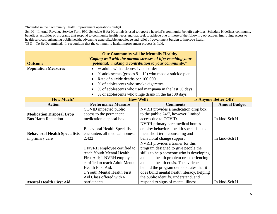Sch H = Internal Revenue Service Form 990, Schedule H for Hospitals is used to report a hospital's community benefit activities. Schedule H defines community benefit as activities or programs that respond to community health needs and that seek to achieve one or more of the following objectives: improving access to health services, enhancing public health, advancing generalizable knowledge and relief of government burden to improve health. TBD = To Be Determined. In recognition that the community health improvement process is fluid.

|                                      | <b>Our Community will be Mentally Healthy</b> |                                                              |                                                          |  |                              |
|--------------------------------------|-----------------------------------------------|--------------------------------------------------------------|----------------------------------------------------------|--|------------------------------|
|                                      |                                               | "Coping well with the normal stresses of life; reaching your |                                                          |  |                              |
| <b>Outcome</b>                       |                                               |                                                              | potential; making a contribution to your community."     |  |                              |
| <b>Population Measures</b>           | $\bullet$                                     | % adults with a depressive disorder                          |                                                          |  |                              |
|                                      | $\bullet$                                     |                                                              | % adolescents (grades $9 - 12$ ) who made a suicide plan |  |                              |
|                                      |                                               | Rate of suicide deaths per 100,000                           |                                                          |  |                              |
|                                      |                                               | % of adolescents who smoke cigarettes                        |                                                          |  |                              |
|                                      |                                               |                                                              | % of adolescents who used marijuana in the last 30 days  |  |                              |
|                                      |                                               |                                                              | % of adolescents who binge drank in the last 30 days     |  |                              |
| <b>How Much?</b>                     |                                               |                                                              | <b>How Well?</b>                                         |  | <b>Is Anyone Better Off?</b> |
| <b>Action</b>                        |                                               | <b>Performance Measure</b>                                   | <b>Comments</b>                                          |  | <b>Annual Budget</b>         |
|                                      |                                               | COVID impacted public                                        | NVRH provides a medication drop box                      |  |                              |
| <b>Medication Disposal Drop</b>      |                                               | access to the permanent                                      | to the public 24/7, however, limited                     |  |                              |
| <b>Box Harm Reduction</b>            |                                               | medication disposal box.                                     | access due to COVID.                                     |  | In kind-Sch H                |
|                                      |                                               |                                                              | NVRH primary care medical homes                          |  |                              |
|                                      |                                               | <b>Behavioral Health Specialist</b>                          | employ behavioral health specialists to                  |  |                              |
| <b>Behavioral Health Specialists</b> |                                               | encounters all medical homes:                                | meet short term counseling and                           |  |                              |
| in primary care                      | 2,422                                         |                                                              | behavioral change support                                |  | In kind-Sch H                |
|                                      |                                               |                                                              | NVRH provides a trainer for this                         |  |                              |
|                                      |                                               | 1 NVRH employee certified to                                 | program designed to give people the                      |  |                              |
|                                      |                                               | teach Youth Mental Health                                    | skills to help someone who is developing                 |  |                              |
|                                      |                                               | First Aid; 1 NVRH employee                                   | a mental health problem or experiencing                  |  |                              |
|                                      |                                               | certified to teach Adult Mental                              | a mental health crisis. The evidence                     |  |                              |
|                                      | Health First Aid.                             |                                                              | behind the program demonstrates that it                  |  |                              |
|                                      |                                               | 1 Youth Mental Health First                                  | does build mental health literacy, helping               |  |                              |
|                                      |                                               | Aid Class offered with 6                                     | the public identify, understand, and                     |  |                              |
| <b>Mental Health First Aid</b>       | participants.                                 |                                                              | respond to signs of mental illness.                      |  | In kind-Sch H                |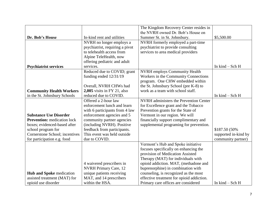|                                    |                                 | The Kingdom Recovery Center resides in        |                                 |
|------------------------------------|---------------------------------|-----------------------------------------------|---------------------------------|
|                                    |                                 | the NVRH owned Dr. Bob's House on             |                                 |
| Dr. Bob's House                    | In-kind rent and utilities      | Summer St. in St. Johnsbury.                  | \$5,500.00                      |
|                                    | NVRH no longer employs a        | NVRH formerly employed a part-time            |                                 |
|                                    | psychiatrist, requiring a pivot | psychiatrist to provide consulting            |                                 |
|                                    | to telehealth access from       | services to area medical providers            |                                 |
|                                    | Alpine TeleHealth, now          |                                               |                                 |
|                                    | offering pediatric and adult    |                                               |                                 |
| <b>Psychiatrist services</b>       | services.                       |                                               | In $\text{kind} - \text{Sch}$ H |
|                                    | Reduced due to COVID; grant     | <b>NVRH</b> employs Community Health          |                                 |
|                                    | funding ended $12/31/19$        | Workers in the Community Connections          |                                 |
|                                    |                                 | program. One CHW embedded within              |                                 |
|                                    | Overall, NVRH CHWs had          | the St. Johnsbury School (pre K-8) to         |                                 |
| <b>Community Health Workers</b>    | $2,005$ visits in FY 21, also   | work as a team with school staff.             |                                 |
| in the St. Johnsbury Schools       | reduced due to COVID.           |                                               | In $\text{kind} - \text{Sch}$ H |
|                                    | Offered a 2-hour law            | <b>NVRH</b> administers the Prevention Center |                                 |
|                                    | enforcement lunch and learn     | for Excellence grant and the Tobacco          |                                 |
|                                    | with 6 participants from 4 law  | Prevention grants for the State of            |                                 |
| <b>Substance Use Disorder</b>      | enforcement agencies and 5      | Vermont in our region. We will                |                                 |
| <b>Prevention:</b> medication lock | community partner agencies      | financially support complimentary and         |                                 |
| boxes; evidenced-based after       | (including NVRH). Positive      | supplemental programing for prevention.       |                                 |
| school program for                 | feedback from participants.     |                                               | \$187.50 (50%)                  |
| Cornerstone School; incentives     | This event was held outside     |                                               | supported in-kind by            |
| for participation e.g. food        | due to COVID.                   |                                               | community partner)              |
|                                    |                                 | Vermont's Hub and Spoke initiative            |                                 |
|                                    |                                 | focuses specifically on enhancing the         |                                 |
|                                    |                                 | provision of Medication Assisted              |                                 |
|                                    |                                 | Therapy (MAT) for individuals with            |                                 |
|                                    | 4 waivered prescribers in       | opioid addiction. MAT, (methadone and         |                                 |
|                                    | NVRH Primary Care, 12           | buprenorphine) in combination with            |                                 |
| <b>Hub and Spoke medication</b>    | unique patients receiving       | counseling, is recognized as the most         |                                 |
| assisted treatment (MAT) for       | MAT, and 14 prescribers         | effective treatment for opioid addiction.     |                                 |
| opioid use disorder                | within the HSA.                 | Primary care offices are considered           | In $\text{kind} - \text{Sch}$ H |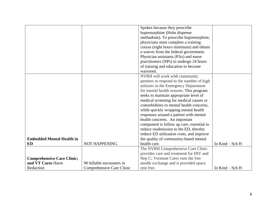|                                   |                           | Spokes because they prescribe             |                   |
|-----------------------------------|---------------------------|-------------------------------------------|-------------------|
|                                   |                           | buprenorphine (Hubs dispense              |                   |
|                                   |                           | methadone). To prescribe buprenorphine,   |                   |
|                                   |                           | physicians must complete a training       |                   |
|                                   |                           | course (eight hours minimum) and obtain   |                   |
|                                   |                           | a waiver from the federal government.     |                   |
|                                   |                           |                                           |                   |
|                                   |                           | Physician assistants (PAs) and nurse      |                   |
|                                   |                           | practitioners (NPs) to undergo 24 hours   |                   |
|                                   |                           | of training and education to become       |                   |
|                                   |                           | waivered.                                 |                   |
|                                   |                           | NVRH will work with community             |                   |
|                                   |                           | partners to respond to the number of high |                   |
|                                   |                           | utilizers in the Emergency Department     |                   |
|                                   |                           | for mental health reasons. This program   |                   |
|                                   |                           | seeks to maintain appropriate level of    |                   |
|                                   |                           | medical screening for medical causes or   |                   |
|                                   |                           | comorbidities to mental health concerns,  |                   |
|                                   |                           | while quickly wrapping mental health      |                   |
|                                   |                           | responses around a patient with mental    |                   |
|                                   |                           | health concerns. An important             |                   |
|                                   |                           | component is follow up care, essential to |                   |
|                                   |                           | reduce readmission to the ED, thereby     |                   |
|                                   |                           | reduce ED utilization costs, and improve  |                   |
| <b>Embedded Mental Health in</b>  |                           | the quality of community-based mental     |                   |
| <b>ED</b>                         | <b>NOT HAPPENING</b>      | health care.                              | In $Kind - Sch H$ |
|                                   |                           | The NVRH Comprehensive Care Clinic        |                   |
|                                   |                           | provides care and treatment for HIV and   |                   |
| <b>Comprehensive Care Clinic;</b> |                           | Hep C; Vermont Cares runs the free        |                   |
| and VT Cares Harm                 | 90 billable encounters in | needle exchange and is provided space     |                   |
| Reduction                         | Comprehensive Care Clinic | rent free.                                | In $Kind - Sch H$ |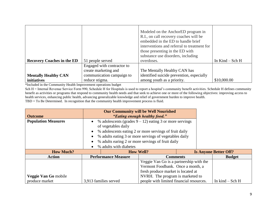|                                   |                            | Modeled on the AnchorED program in<br>R.I., on call recovery coaches will be<br>embedded in the ED to handle brief<br>interventions and referral to treatment for<br>those presenting in the ED with<br>substance use disorders, including |                   |
|-----------------------------------|----------------------------|--------------------------------------------------------------------------------------------------------------------------------------------------------------------------------------------------------------------------------------------|-------------------|
| <b>Recovery Coaches in the ED</b> | 51 people served           | overdoses.                                                                                                                                                                                                                                 | In $Kind - Sch H$ |
|                                   | Engaged with contractor to |                                                                                                                                                                                                                                            |                   |
|                                   | create marketing and       | The Mentally Healthy CAN has                                                                                                                                                                                                               |                   |
| <b>Mentally Healthy CAN</b>       | communication campaign to  | identified suicide prevention, especially                                                                                                                                                                                                  |                   |
| <i>initiatives</i>                | reduce stigma.             | among youth as a priority.                                                                                                                                                                                                                 | \$10,000.00       |

Sch H = Internal Revenue Service Form 990, Schedule H for Hospitals is used to report a hospital's community benefit activities. Schedule H defines community benefit as activities or programs that respond to community health needs and that seek to achieve one or more of the following objectives: improving access to health services, enhancing public health, advancing generalizable knowledge and relief of government burden to improve health. TBD = To Be Determined. In recognition that the community health improvement process is fluid.

| <b>Outcome</b>             |                                   | <b>Our Community will be Well Nourished</b><br>"Eating enough healthy food."                   |                                                        |  |                                 |
|----------------------------|-----------------------------------|------------------------------------------------------------------------------------------------|--------------------------------------------------------|--|---------------------------------|
| <b>Population Measures</b> |                                   | % adolescents (grades $9 - 12$ ) eating 3 or more servings<br>$\bullet$<br>of vegetables daily |                                                        |  |                                 |
|                            |                                   |                                                                                                | % adolescents eating 2 or more servings of fruit daily |  |                                 |
|                            |                                   |                                                                                                | % adults eating 3 or more servings of vegetables daily |  |                                 |
|                            |                                   | % adults earing 2 or more servings of fruit daily                                              |                                                        |  |                                 |
|                            |                                   | % adults with diabetes                                                                         |                                                        |  |                                 |
| <b>How Much?</b>           |                                   |                                                                                                | <b>How Well?</b>                                       |  | <b>Is Anyone Better Off?</b>    |
| <b>Action</b>              |                                   | <b>Performance Measure</b>                                                                     | <b>Comments</b>                                        |  | <b>Budget</b>                   |
|                            |                                   |                                                                                                | Veggie Van Go is a partnership with the                |  |                                 |
|                            | Vermont Foodbank. Once a month, a |                                                                                                |                                                        |  |                                 |
|                            |                                   |                                                                                                | fresh produce market is located at                     |  |                                 |
| Veggie Van Go mobile       |                                   |                                                                                                | NVRH. The program is marketed to                       |  |                                 |
| produce market             |                                   | 3,913 families served                                                                          | people with limited financial resources.               |  | In $\text{kind} - \text{Sch}$ H |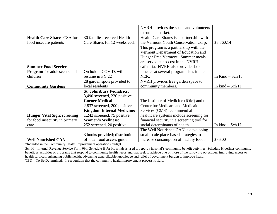|                                     |                                   | NVRH provides the space and volunteers     |                                 |
|-------------------------------------|-----------------------------------|--------------------------------------------|---------------------------------|
|                                     |                                   | to run the market.                         |                                 |
| <b>Health Care Shares CSA for</b>   | 30 families received Health       | Health Care Shares is a partnership with   |                                 |
| food insecure patients              | Care Shares for 12 weeks each     | the Vermont Youth Conservation Corp.       | \$3,860.14                      |
|                                     |                                   | This program is a partnership with the     |                                 |
|                                     |                                   | Vermont Department of Education and        |                                 |
|                                     |                                   | Hunger Free Vermont. Summer meals          |                                 |
|                                     |                                   | are served at no-cost in the NVRH          |                                 |
| <b>Summer Food Service</b>          |                                   | cafeteria. NVRH also provides box          |                                 |
| <b>Program</b> for adolescents and  | On hold – COVID, will             | lunches at several program sites in the    |                                 |
| children                            | resume in FY 22                   | NEK.                                       | In $Kind - Sch H$               |
|                                     | 28 garden spots provided to       | NVRH provides free garden space to         |                                 |
| <b>Community Gardens</b>            | local residents                   | community members.                         | In $\text{kind} - \text{Sch}$ H |
|                                     | <b>St. Johnsbury Pediatrics:</b>  |                                            |                                 |
|                                     | 3,490 screened, 230 positive      |                                            |                                 |
|                                     | <b>Corner Medical:</b>            | The Institute of Medicine (IOM) and the    |                                 |
|                                     | 2,837 screened, 200 positive      | Center for Medicare and Medicaid           |                                 |
|                                     | <b>Kingdom Internal Medicine:</b> | Services (CMS) recommend all               |                                 |
| <b>Hunger Vital Sign; screening</b> | 1,242 screened, 75 positive       | healthcare systems include screening for   |                                 |
| for food insecurity in primary      | <b>Women's Wellness:</b>          | financial security in a screening tool for |                                 |
| care                                | 252 screened, 20 positive         | social determinants of health.             | In $\text{kind} - \text{Sch} H$ |
|                                     |                                   | The Well Nourished CAN is developing       |                                 |
|                                     | 3 books provided; distribution    | small scale place-based strategies to      |                                 |
| <b>Well Nourished CAN</b>           | of local food access guide        | increase consumption of healthy food.      | \$76.00                         |

Sch H = Internal Revenue Service Form 990, Schedule H for Hospitals is used to report a hospital's community benefit activities. Schedule H defines community benefit as activities or programs that respond to community health needs and that seek to achieve one or more of the following objectives: improving access to health services, enhancing public health, advancing generalizable knowledge and relief of government burden to improve health.

TBD = To Be Determined. In recognition that the community health improvement process is fluid.